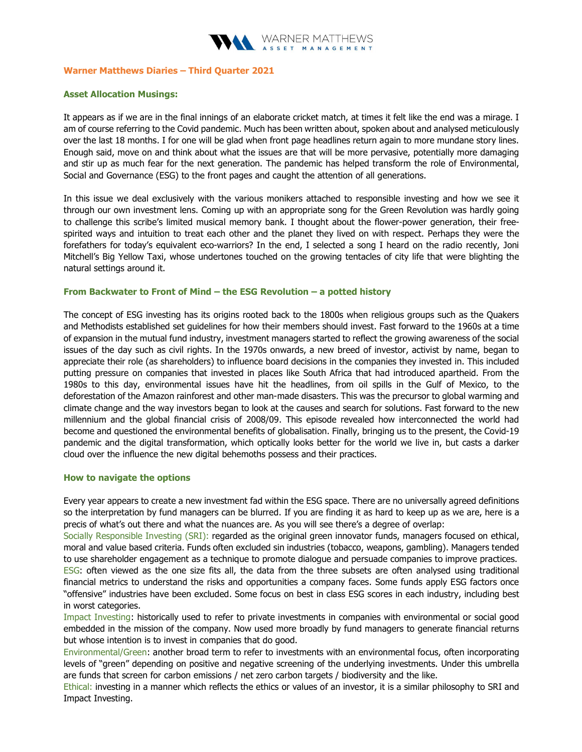

## Warner Matthews Diaries – Third Quarter 2021

### Asset Allocation Musings:

It appears as if we are in the final innings of an elaborate cricket match, at times it felt like the end was a mirage. I am of course referring to the Covid pandemic. Much has been written about, spoken about and analysed meticulously over the last 18 months. I for one will be glad when front page headlines return again to more mundane story lines. Enough said, move on and think about what the issues are that will be more pervasive, potentially more damaging and stir up as much fear for the next generation. The pandemic has helped transform the role of Environmental, Social and Governance (ESG) to the front pages and caught the attention of all generations.

In this issue we deal exclusively with the various monikers attached to responsible investing and how we see it through our own investment lens. Coming up with an appropriate song for the Green Revolution was hardly going to challenge this scribe's limited musical memory bank. I thought about the flower-power generation, their freespirited ways and intuition to treat each other and the planet they lived on with respect. Perhaps they were the forefathers for today's equivalent eco-warriors? In the end, I selected a song I heard on the radio recently, Joni Mitchell's Big Yellow Taxi, whose undertones touched on the growing tentacles of city life that were blighting the natural settings around it.

#### From Backwater to Front of Mind – the ESG Revolution – a potted history

The concept of ESG investing has its origins rooted back to the 1800s when religious groups such as the Quakers and Methodists established set guidelines for how their members should invest. Fast forward to the 1960s at a time of expansion in the mutual fund industry, investment managers started to reflect the growing awareness of the social issues of the day such as civil rights. In the 1970s onwards, a new breed of investor, activist by name, began to appreciate their role (as shareholders) to influence board decisions in the companies they invested in. This included putting pressure on companies that invested in places like South Africa that had introduced apartheid. From the 1980s to this day, environmental issues have hit the headlines, from oil spills in the Gulf of Mexico, to the deforestation of the Amazon rainforest and other man-made disasters. This was the precursor to global warming and climate change and the way investors began to look at the causes and search for solutions. Fast forward to the new millennium and the global financial crisis of 2008/09. This episode revealed how interconnected the world had become and questioned the environmental benefits of globalisation. Finally, bringing us to the present, the Covid-19 pandemic and the digital transformation, which optically looks better for the world we live in, but casts a darker cloud over the influence the new digital behemoths possess and their practices.

#### How to navigate the options

Every year appears to create a new investment fad within the ESG space. There are no universally agreed definitions so the interpretation by fund managers can be blurred. If you are finding it as hard to keep up as we are, here is a precis of what's out there and what the nuances are. As you will see there's a degree of overlap:

Socially Responsible Investing (SRI): regarded as the original green innovator funds, managers focused on ethical, moral and value based criteria. Funds often excluded sin industries (tobacco, weapons, gambling). Managers tended to use shareholder engagement as a technique to promote dialogue and persuade companies to improve practices. ESG: often viewed as the one size fits all, the data from the three subsets are often analysed using traditional financial metrics to understand the risks and opportunities a company faces. Some funds apply ESG factors once "offensive" industries have been excluded. Some focus on best in class ESG scores in each industry, including best in worst categories.

Impact Investing: historically used to refer to private investments in companies with environmental or social good embedded in the mission of the company. Now used more broadly by fund managers to generate financial returns but whose intention is to invest in companies that do good.

Environmental/Green: another broad term to refer to investments with an environmental focus, often incorporating levels of "green" depending on positive and negative screening of the underlying investments. Under this umbrella are funds that screen for carbon emissions / net zero carbon targets / biodiversity and the like.

Ethical: investing in a manner which reflects the ethics or values of an investor, it is a similar philosophy to SRI and Impact Investing.